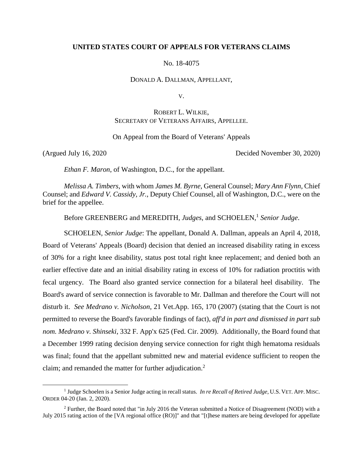## **UNITED STATES COURT OF APPEALS FOR VETERANS CLAIMS**

No. 18-4075

DONALD A. DALLMAN, APPELLANT,

V.

# ROBERT L. WILKIE, SECRETARY OF VETERANS AFFAIRS, APPELLEE.

On Appeal from the Board of Veterans' Appeals

 $\overline{a}$ 

(Argued July 16, 2020 Decided November 30, 2020)

*Ethan F. Maron*, of Washington, D.C., for the appellant.

*Melissa A. Timbers*, with whom *James M. Byrne*, General Counsel; *Mary Ann Flynn*, Chief Counsel; and *Edward V. Cassidy, Jr.*, Deputy Chief Counsel, all of Washington, D.C., were on the brief for the appellee.

Before GREENBERG and MEREDITH, *Judges*, and SCHOELEN, 1 *Senior Judge*.

SCHOELEN, *Senior Judge*: The appellant, Donald A. Dallman, appeals an April 4, 2018, Board of Veterans' Appeals (Board) decision that denied an increased disability rating in excess of 30% for a right knee disability, status post total right knee replacement; and denied both an earlier effective date and an initial disability rating in excess of 10% for radiation proctitis with fecal urgency. The Board also granted service connection for a bilateral heel disability. The Board's award of service connection is favorable to Mr. Dallman and therefore the Court will not disturb it. *See Medrano v. Nicholson*, 21 Vet.App. 165, 170 (2007) (stating that the Court is not permitted to reverse the Board's favorable findings of fact), *aff'd in part and dismissed in part sub nom. Medrano v. Shinseki*, 332 F. App'x 625 (Fed. Cir. 2009). Additionally, the Board found that a December 1999 rating decision denying service connection for right thigh hematoma residuals was final; found that the appellant submitted new and material evidence sufficient to reopen the claim; and remanded the matter for further adjudication.<sup>2</sup>

<sup>&</sup>lt;sup>1</sup> Judge Schoelen is a Senior Judge acting in recall status. *In re Recall of Retired Judge*, U.S. VET. APP. MISC. ORDER 04-20 (Jan. 2, 2020).

<sup>2</sup> Further, the Board noted that "in July 2016 the Veteran submitted a Notice of Disagreement (NOD) with a July 2015 rating action of the [VA regional office (RO)]" and that "[t]hese matters are being developed for appellate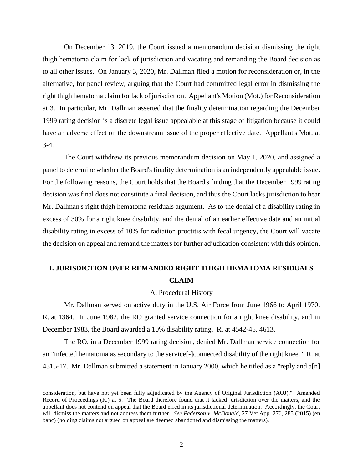On December 13, 2019, the Court issued a memorandum decision dismissing the right thigh hematoma claim for lack of jurisdiction and vacating and remanding the Board decision as to all other issues. On January 3, 2020, Mr. Dallman filed a motion for reconsideration or, in the alternative, for panel review, arguing that the Court had committed legal error in dismissing the right thigh hematoma claim for lack of jurisdiction. Appellant's Motion (Mot.) for Reconsideration at 3. In particular, Mr. Dallman asserted that the finality determination regarding the December 1999 rating decision is a discrete legal issue appealable at this stage of litigation because it could have an adverse effect on the downstream issue of the proper effective date. Appellant's Mot. at 3-4.

The Court withdrew its previous memorandum decision on May 1, 2020, and assigned a panel to determine whether the Board's finality determination is an independently appealable issue. For the following reasons, the Court holds that the Board's finding that the December 1999 rating decision was final does not constitute a final decision, and thus the Court lacks jurisdiction to hear Mr. Dallman's right thigh hematoma residuals argument. As to the denial of a disability rating in excess of 30% for a right knee disability, and the denial of an earlier effective date and an initial disability rating in excess of 10% for radiation proctitis with fecal urgency, the Court will vacate the decision on appeal and remand the matters for further adjudication consistent with this opinion.

# **I. JURISDICTION OVER REMANDED RIGHT THIGH HEMATOMA RESIDUALS CLAIM**

#### A. Procedural History

Mr. Dallman served on active duty in the U.S. Air Force from June 1966 to April 1970. R. at 1364. In June 1982, the RO granted service connection for a right knee disability, and in December 1983, the Board awarded a 10% disability rating. R. at 4542-45, 4613.

The RO, in a December 1999 rating decision, denied Mr. Dallman service connection for an "infected hematoma as secondary to the service[-]connected disability of the right knee." R. at 4315-17. Mr. Dallman submitted a statement in January 2000, which he titled as a "reply and a[n]

consideration, but have not yet been fully adjudicated by the Agency of Original Jurisdiction (AOJ)." Amended Record of Proceedings (R.) at 5. The Board therefore found that it lacked jurisdiction over the matters, and the appellant does not contend on appeal that the Board erred in its jurisdictional determination. Accordingly, the Court will dismiss the matters and not address them further. *See Pederson v. McDonald*, 27 Vet.App. 276, 285 (2015) (en banc) (holding claims not argued on appeal are deemed abandoned and dismissing the matters).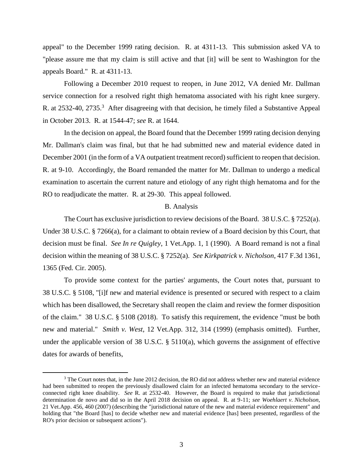appeal" to the December 1999 rating decision. R. at 4311-13. This submission asked VA to "please assure me that my claim is still active and that [it] will be sent to Washington for the appeals Board." R. at 4311-13.

Following a December 2010 request to reopen, in June 2012, VA denied Mr. Dallman service connection for a resolved right thigh hematoma associated with his right knee surgery. R. at 2532-40, 2735.<sup>3</sup> After disagreeing with that decision, he timely filed a Substantive Appeal in October 2013. R. at 1544-47; *see* R. at 1644.

In the decision on appeal, the Board found that the December 1999 rating decision denying Mr. Dallman's claim was final, but that he had submitted new and material evidence dated in December 2001 (in the form of a VA outpatient treatment record) sufficient to reopen that decision. R. at 9-10. Accordingly, the Board remanded the matter for Mr. Dallman to undergo a medical examination to ascertain the current nature and etiology of any right thigh hematoma and for the RO to readjudicate the matter. R. at 29-30. This appeal followed.

#### B. Analysis

The Court has exclusive jurisdiction to review decisions of the Board. 38 U.S.C. § 7252(a). Under 38 U.S.C. § 7266(a), for a claimant to obtain review of a Board decision by this Court, that decision must be final. *See In re Quigley*, 1 Vet.App. 1, 1 (1990). A Board remand is not a final decision within the meaning of 38 U.S.C. § 7252(a). *See Kirkpatrick v. Nicholson*, 417 F.3d 1361, 1365 (Fed. Cir. 2005).

To provide some context for the parties' arguments, the Court notes that, pursuant to 38 U.S.C. § 5108, "[i]f new and material evidence is presented or secured with respect to a claim which has been disallowed, the Secretary shall reopen the claim and review the former disposition of the claim." 38 U.S.C. § 5108 (2018). To satisfy this requirement, the evidence "must be both new and material." *Smith v. West*, 12 Vet.App. 312, 314 (1999) (emphasis omitted). Further, under the applicable version of 38 U.S.C. § 5110(a), which governs the assignment of effective dates for awards of benefits,

<sup>&</sup>lt;sup>3</sup> The Court notes that, in the June 2012 decision, the RO did not address whether new and material evidence had been submitted to reopen the previously disallowed claim for an infected hematoma secondary to the serviceconnected right knee disability. *See* R. at 2532-40. However, the Board is required to make that jurisdictional determination de novo and did so in the April 2018 decision on appeal. R. at 9-11; *see Woehlaert v. Nicholson*, 21 Vet.App. 456, 460 (2007) (describing the "jurisdictional nature of the new and material evidence requirement" and holding that "the Board [has] to decide whether new and material evidence [has] been presented, regardless of the RO's prior decision or subsequent actions").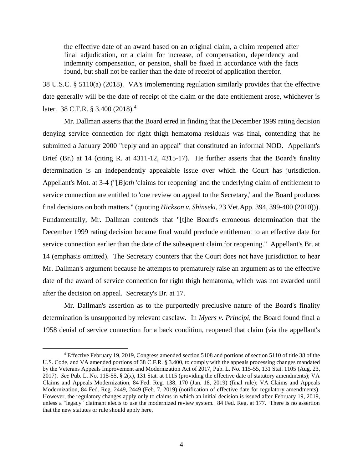the effective date of an award based on an original claim, a claim reopened after final adjudication, or a claim for increase, of compensation, dependency and indemnity compensation, or pension, shall be fixed in accordance with the facts found, but shall not be earlier than the date of receipt of application therefor.

38 U.S.C. § 5110(a) (2018). VA's implementing regulation similarly provides that the effective date generally will be the date of receipt of the claim or the date entitlement arose, whichever is later. 38 C.F.R. § 3.400 (2018).<sup>4</sup>

Mr. Dallman asserts that the Board erred in finding that the December 1999 rating decision denying service connection for right thigh hematoma residuals was final, contending that he submitted a January 2000 "reply and an appeal" that constituted an informal NOD. Appellant's Brief (Br.) at 14 (citing R. at 4311-12, 4315-17). He further asserts that the Board's finality determination is an independently appealable issue over which the Court has jurisdiction. Appellant's Mot. at 3-4 ("[*B*]*oth* 'claims for reopening' and the underlying claim of entitlement to service connection are entitled to 'one review on appeal to the Secretary,' and the Board produces final decisions on both matters." (quoting *Hickson v. Shinseki*, 23 Vet.App. 394, 399-400 (2010))). Fundamentally, Mr. Dallman contends that "[t]he Board's erroneous determination that the December 1999 rating decision became final would preclude entitlement to an effective date for service connection earlier than the date of the subsequent claim for reopening." Appellant's Br. at 14 (emphasis omitted). The Secretary counters that the Court does not have jurisdiction to hear Mr. Dallman's argument because he attempts to prematurely raise an argument as to the effective date of the award of service connection for right thigh hematoma, which was not awarded until after the decision on appeal. Secretary's Br. at 17.

Mr. Dallman's assertion as to the purportedly preclusive nature of the Board's finality determination is unsupported by relevant caselaw. In *Myers v. Principi*, the Board found final a 1958 denial of service connection for a back condition, reopened that claim (via the appellant's

<sup>4</sup> Effective February 19, 2019, Congress amended section 5108 and portions of section 5110 of title 38 of the U.S. Code, and VA amended portions of 38 C.F.R. § 3.400, to comply with the appeals processing changes mandated by the Veterans Appeals Improvement and Modernization Act of 2017, Pub. L. No. 115-55, 131 Stat. 1105 (Aug. 23, 2017). *See* Pub. L. No. 115-55, § 2(x), 131 Stat. at 1115 (providing the effective date of statutory amendments); VA Claims and Appeals Modernization, 84 Fed. Reg. 138, 170 (Jan. 18, 2019) (final rule); VA Claims and Appeals Modernization, 84 Fed. Reg. 2449, 2449 (Feb. 7, 2019) (notification of effective date for regulatory amendments). However, the regulatory changes apply only to claims in which an initial decision is issued after February 19, 2019, unless a "legacy" claimant elects to use the modernized review system. 84 Fed. Reg. at 177. There is no assertion that the new statutes or rule should apply here.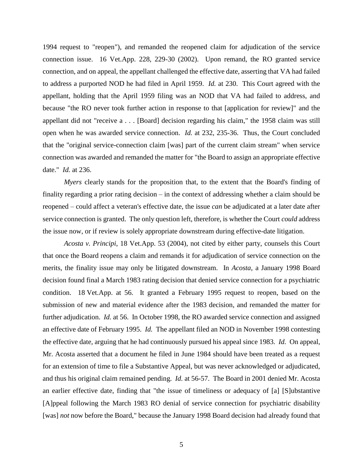1994 request to "reopen"), and remanded the reopened claim for adjudication of the service connection issue. 16 Vet.App. 228, 229-30 (2002). Upon remand, the RO granted service connection, and on appeal, the appellant challenged the effective date, asserting that VA had failed to address a purported NOD he had filed in April 1959. *Id.* at 230. This Court agreed with the appellant, holding that the April 1959 filing was an NOD that VA had failed to address, and because "the RO never took further action in response to that [application for review]" and the appellant did not "receive a . . . [Board] decision regarding his claim," the 1958 claim was still open when he was awarded service connection. *Id.* at 232, 235-36. Thus, the Court concluded that the "original service-connection claim [was] part of the current claim stream" when service connection was awarded and remanded the matter for "the Board to assign an appropriate effective date." *Id.* at 236.

*Myers* clearly stands for the proposition that, to the extent that the Board's finding of finality regarding a prior rating decision – in the context of addressing whether a claim should be reopened – could affect a veteran's effective date, the issue *can* be adjudicated at a later date after service connection is granted. The only question left, therefore, is whether the Court *could* address the issue now, or if review is solely appropriate downstream during effective-date litigation.

*Acosta v. Principi*, 18 Vet.App. 53 (2004), not cited by either party, counsels this Court that once the Board reopens a claim and remands it for adjudication of service connection on the merits, the finality issue may only be litigated downstream. In *Acosta*, a January 1998 Board decision found final a March 1983 rating decision that denied service connection for a psychiatric condition. 18 Vet.App. at 56. It granted a February 1995 request to reopen, based on the submission of new and material evidence after the 1983 decision, and remanded the matter for further adjudication. *Id.* at 56. In October 1998, the RO awarded service connection and assigned an effective date of February 1995. *Id.* The appellant filed an NOD in November 1998 contesting the effective date, arguing that he had continuously pursued his appeal since 1983. *Id.* On appeal, Mr. Acosta asserted that a document he filed in June 1984 should have been treated as a request for an extension of time to file a Substantive Appeal, but was never acknowledged or adjudicated, and thus his original claim remained pending. *Id.* at 56-57. The Board in 2001 denied Mr. Acosta an earlier effective date, finding that "the issue of timeliness or adequacy of [a] [S]ubstantive [A]ppeal following the March 1983 RO denial of service connection for psychiatric disability [was] *not* now before the Board," because the January 1998 Board decision had already found that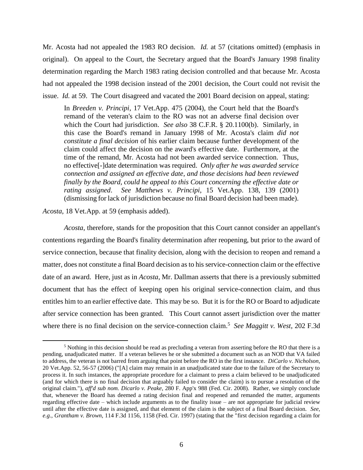Mr. Acosta had not appealed the 1983 RO decision. *Id.* at 57 (citations omitted) (emphasis in original). On appeal to the Court, the Secretary argued that the Board's January 1998 finality determination regarding the March 1983 rating decision controlled and that because Mr. Acosta had not appealed the 1998 decision instead of the 2001 decision, the Court could not revisit the issue. *Id.* at 59. The Court disagreed and vacated the 2001 Board decision on appeal, stating:

In *Breeden v. Principi*, 17 Vet.App. 475 (2004), the Court held that the Board's remand of the veteran's claim to the RO was not an adverse final decision over which the Court had jurisdiction. *See also* 38 C.F.R. § 20.1100(b). Similarly, in this case the Board's remand in January 1998 of Mr. Acosta's claim *did not constitute a final decision* of his earlier claim because further development of the claim could affect the decision on the award's effective date. Furthermore, at the time of the remand, Mr. Acosta had not been awarded service connection. Thus, no effective[-]date determination was required. *Only after he was awarded service connection and assigned an effective date, and those decisions had been reviewed finally by the Board, could he appeal to this Court concerning the effective date or rating assigned*. *See Matthews v. Principi*, 15 Vet.App. 138, 139 (2001) (dismissing for lack of jurisdiction because no final Board decision had been made).

*Acosta*, 18 Vet.App. at 59 (emphasis added).

 $\overline{a}$ 

*Acosta*, therefore, stands for the proposition that this Court cannot consider an appellant's contentions regarding the Board's finality determination after reopening, but prior to the award of service connection, because that finality decision, along with the decision to reopen and remand a matter, does not constitute a final Board decision as to his service-connection claim or the effective date of an award. Here, just as in *Acosta*, Mr. Dallman asserts that there is a previously submitted document that has the effect of keeping open his original service-connection claim, and thus entitles him to an earlier effective date. This may be so. But it is for the RO or Board to adjudicate after service connection has been granted. This Court cannot assert jurisdiction over the matter where there is no final decision on the service-connection claim.<sup>5</sup> See Maggitt v. West, 202 F.3d

<sup>5</sup> Nothing in this decision should be read as precluding a veteran from asserting before the RO that there is a pending, unadjudicated matter. If a veteran believes he or she submitted a document such as an NOD that VA failed to address, the veteran is not barred from arguing that point before the RO in the first instance. *DiCarlo v. Nicholson*, 20 Vet.App. 52, 56-57 (2006) ("[A] claim may remain in an unadjudicated state due to the failure of the Secretary to process it. In such instances, the appropriate procedure for a claimant to press a claim believed to be unadjudicated (and for which there is no final decision that arguably failed to consider the claim) is to pursue a resolution of the original claim."), *aff'd sub nom. Dicarlo v. Peake*, 280 F. App'x 988 (Fed. Cir. 2008). Rather, we simply conclude that, whenever the Board has deemed a rating decision final and reopened and remanded the matter, arguments regarding effective date – which include arguments as to the finality issue – are not appropriate for judicial review until after the effective date is assigned, and that element of the claim is the subject of a final Board decision. *See, e.g.*, *Grantham v. Brown*, 114 F.3d 1156, 1158 (Fed. Cir. 1997) (stating that the "first decision regarding a claim for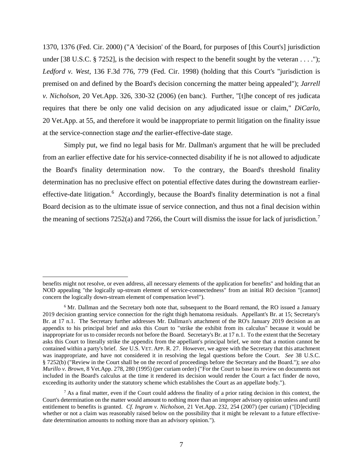1370, 1376 (Fed. Cir. 2000) ("A 'decision' of the Board, for purposes of [this Court's] jurisdiction under [38 U.S.C. § 7252], is the decision with respect to the benefit sought by the veteran  $\dots$ ."); *Ledford v. West*, 136 F.3d 776, 779 (Fed. Cir. 1998) (holding that this Court's "jurisdiction is premised on and defined by the Board's decision concerning the matter being appealed"); *Jarrell v. Nicholson*, 20 Vet.App. 326, 330-32 (2006) (en banc). Further, "[t]he concept of res judicata requires that there be only one valid decision on any adjudicated issue or claim," *DiCarlo*, 20 Vet.App. at 55, and therefore it would be inappropriate to permit litigation on the finality issue at the service-connection stage *and* the earlier-effective-date stage.

Simply put, we find no legal basis for Mr. Dallman's argument that he will be precluded from an earlier effective date for his service-connected disability if he is not allowed to adjudicate the Board's finality determination now. To the contrary, the Board's threshold finality determination has no preclusive effect on potential effective dates during the downstream earliereffective-date litigation.<sup>6</sup> Accordingly, because the Board's finality determination is not a final Board decision as to the ultimate issue of service connection, and thus not a final decision within the meaning of sections 7252(a) and 7266, the Court will dismiss the issue for lack of jurisdiction.<sup>7</sup>

benefits might not resolve, or even address, all necessary elements of the application for benefits" and holding that an NOD appealing "the logically up-stream element of service-connectedness" from an initial RO decision "[cannot] concern the logically down-stream element of compensation level").

 $6$  Mr. Dallman and the Secretary both note that, subsequent to the Board remand, the RO issued a January 2019 decision granting service connection for the right thigh hematoma residuals. Appellant's Br. at 15; Secretary's Br. at 17 n.1. The Secretary further addresses Mr. Dallman's attachment of the RO's January 2019 decision as an appendix to his principal brief and asks this Court to "strike the exhibit from its calculus" because it would be inappropriate for us to consider records not before the Board. Secretary's Br. at 17 n.1. To the extent that the Secretary asks this Court to literally strike the appendix from the appellant's principal brief, we note that a motion cannot be contained within a party's brief. *See* U.S. VET. APP. R. 27. However, we agree with the Secretary that this attachment was inappropriate, and have not considered it in resolving the legal questions before the Court. *See* 38 U.S.C. § 7252(b) ("Review in the Court shall be on the record of proceedings before the Secretary and the Board."); *see also Murillo v. Brown*, 8 Vet.App. 278, 280 (1995) (per curiam order) ("For the Court to base its review on documents not included in the Board's calculus at the time it rendered its decision would render the Court a fact finder de novo, exceeding its authority under the statutory scheme which establishes the Court as an appellate body.").

<sup>&</sup>lt;sup>7</sup> As a final matter, even if the Court could address the finality of a prior rating decision in this context, the Court's determination on the matter would amount to nothing more than an improper advisory opinion unless and until entitlement to benefits is granted. *Cf. Ingram v. Nicholson*, 21 Vet.App. 232, 254 (2007) (per curiam) ("[D]eciding whether or not a claim was reasonably raised below on the possibility that it might be relevant to a future effectivedate determination amounts to nothing more than an advisory opinion.").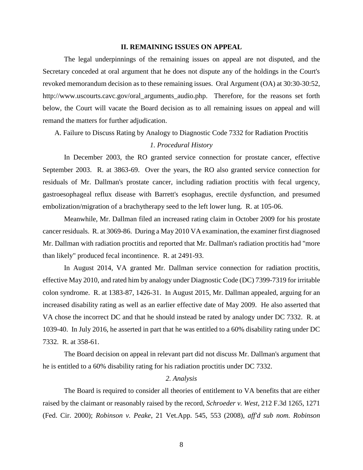### **II. REMAINING ISSUES ON APPEAL**

The legal underpinnings of the remaining issues on appeal are not disputed, and the Secretary conceded at oral argument that he does not dispute any of the holdings in the Court's revoked memorandum decision as to these remaining issues. Oral Argument (OA) at 30:30-30:52, http://www.uscourts.cavc.gov/oral\_arguments\_audio.php. Therefore, for the reasons set forth below, the Court will vacate the Board decision as to all remaining issues on appeal and will remand the matters for further adjudication.

A. Failure to Discuss Rating by Analogy to Diagnostic Code 7332 for Radiation Proctitis *1. Procedural History*

In December 2003, the RO granted service connection for prostate cancer, effective September 2003. R. at 3863-69. Over the years, the RO also granted service connection for residuals of Mr. Dallman's prostate cancer, including radiation proctitis with fecal urgency, gastroesophageal reflux disease with Barrett's esophagus, erectile dysfunction, and presumed embolization/migration of a brachytherapy seed to the left lower lung. R. at 105-06.

Meanwhile, Mr. Dallman filed an increased rating claim in October 2009 for his prostate cancer residuals. R. at 3069-86. During a May 2010 VA examination, the examiner first diagnosed Mr. Dallman with radiation proctitis and reported that Mr. Dallman's radiation proctitis had "more than likely" produced fecal incontinence. R. at 2491-93.

In August 2014, VA granted Mr. Dallman service connection for radiation proctitis, effective May 2010, and rated him by analogy under Diagnostic Code (DC) 7399-7319 for irritable colon syndrome. R. at 1383-87, 1426-31. In August 2015, Mr. Dallman appealed, arguing for an increased disability rating as well as an earlier effective date of May 2009. He also asserted that VA chose the incorrect DC and that he should instead be rated by analogy under DC 7332. R. at 1039-40. In July 2016, he asserted in part that he was entitled to a 60% disability rating under DC 7332. R. at 358-61.

The Board decision on appeal in relevant part did not discuss Mr. Dallman's argument that he is entitled to a 60% disability rating for his radiation proctitis under DC 7332.

# *2. Analysis*

The Board is required to consider all theories of entitlement to VA benefits that are either raised by the claimant or reasonably raised by the record, *Schroeder v. West*, 212 F.3d 1265, 1271 (Fed. Cir. 2000); *Robinson v. Peake*, 21 Vet.App. 545, 553 (2008), *aff'd sub nom. Robinson*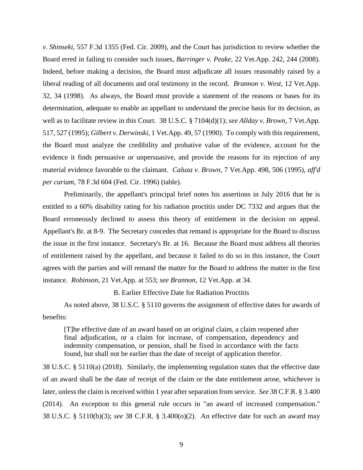*v. Shinseki*, 557 F.3d 1355 (Fed. Cir. 2009), and the Court has jurisdiction to review whether the Board erred in failing to consider such issues, *Barringer v. Peake*, 22 Vet.App. 242, 244 (2008). Indeed, before making a decision, the Board must adjudicate all issues reasonably raised by a liberal reading of all documents and oral testimony in the record. *Brannon v. West*, 12 Vet.App. 32, 34 (1998). As always, the Board must provide a statement of the reasons or bases for its determination, adequate to enable an appellant to understand the precise basis for its decision, as well as to facilitate review in this Court. 38 U.S.C. § 7104(d)(1); *see Allday v. Brown*, 7 Vet.App. 517, 527 (1995); *Gilbert v. Derwinski*, 1 Vet.App. 49, 57 (1990). To comply with this requirement, the Board must analyze the credibility and probative value of the evidence, account for the evidence it finds persuasive or unpersuasive, and provide the reasons for its rejection of any material evidence favorable to the claimant. *Caluza v. Brown*, 7 Vet.App. 498, 506 (1995), *aff'd per curiam*, 78 F.3d 604 (Fed. Cir. 1996) (table).

Preliminarily, the appellant's principal brief notes his assertions in July 2016 that he is entitled to a 60% disability rating for his radiation proctitis under DC 7332 and argues that the Board erroneously declined to assess this theory of entitlement in the decision on appeal. Appellant's Br. at 8-9. The Secretary concedes that remand is appropriate for the Board to discuss the issue in the first instance. Secretary's Br. at 16. Because the Board must address all theories of entitlement raised by the appellant, and because it failed to do so in this instance, the Court agrees with the parties and will remand the matter for the Board to address the matter in the first instance. *Robinson*, 21 Vet.App. at 553; *see Brannon*, 12 Vet.App. at 34.

B. Earlier Effective Date for Radiation Proctitis

As noted above, 38 U.S.C. § 5110 governs the assignment of effective dates for awards of benefits:

[T]he effective date of an award based on an original claim, a claim reopened after final adjudication, or a claim for increase, of compensation, dependency and indemnity compensation, or pension, shall be fixed in accordance with the facts found, but shall not be earlier than the date of receipt of application therefor.

38 U.S.C. § 5110(a) (2018). Similarly, the implementing regulation states that the effective date of an award shall be the date of receipt of the claim or the date entitlement arose, whichever is later, unless the claim is received within 1 year after separation from service. *See* 38 C.F.R. § 3.400 (2014). An exception to this general rule occurs in "an award of increased compensation." 38 U.S.C. § 5110(b)(3); *see* 38 C.F.R. § 3.400(o)(2). An effective date for such an award may

9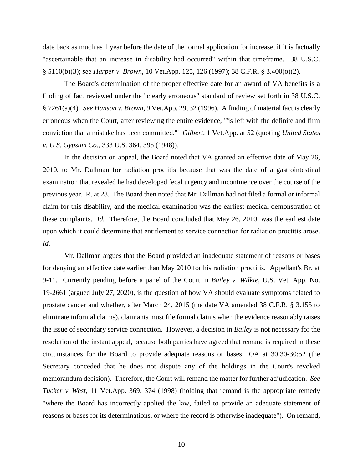date back as much as 1 year before the date of the formal application for increase, if it is factually "ascertainable that an increase in disability had occurred" within that timeframe. 38 U.S.C. § 5110(b)(3); *see Harper v. Brown*, 10 Vet.App. 125, 126 (1997); 38 C.F.R. § 3.400(o)(2).

The Board's determination of the proper effective date for an award of VA benefits is a finding of fact reviewed under the "clearly erroneous" standard of review set forth in 38 U.S.C. § 7261(a)(4). *See Hanson v. Brown*, 9 Vet.App. 29, 32 (1996). A finding of material fact is clearly erroneous when the Court, after reviewing the entire evidence, "'is left with the definite and firm conviction that a mistake has been committed.'" *Gilbert*, 1 Vet.App. at 52 (quoting *United States v. U.S. Gypsum Co.*, 333 U.S. 364, 395 (1948)).

In the decision on appeal, the Board noted that VA granted an effective date of May 26, 2010, to Mr. Dallman for radiation proctitis because that was the date of a gastrointestinal examination that revealed he had developed fecal urgency and incontinence over the course of the previous year. R. at 28. The Board then noted that Mr. Dallman had not filed a formal or informal claim for this disability, and the medical examination was the earliest medical demonstration of these complaints. *Id.* Therefore, the Board concluded that May 26, 2010, was the earliest date upon which it could determine that entitlement to service connection for radiation proctitis arose. *Id.*

Mr. Dallman argues that the Board provided an inadequate statement of reasons or bases for denying an effective date earlier than May 2010 for his radiation proctitis. Appellant's Br. at 9-11. Currently pending before a panel of the Court in *Bailey v. Wilkie*, U.S. Vet. App. No. 19-2661 (argued July 27, 2020), is the question of how VA should evaluate symptoms related to prostate cancer and whether, after March 24, 2015 (the date VA amended 38 C.F.R. § 3.155 to eliminate informal claims), claimants must file formal claims when the evidence reasonably raises the issue of secondary service connection. However, a decision in *Bailey* is not necessary for the resolution of the instant appeal, because both parties have agreed that remand is required in these circumstances for the Board to provide adequate reasons or bases. OA at 30:30-30:52 (the Secretary conceded that he does not dispute any of the holdings in the Court's revoked memorandum decision). Therefore, the Court will remand the matter for further adjudication. *See Tucker v. West*, 11 Vet.App. 369, 374 (1998) (holding that remand is the appropriate remedy "where the Board has incorrectly applied the law, failed to provide an adequate statement of reasons or bases for its determinations, or where the record is otherwise inadequate"). On remand,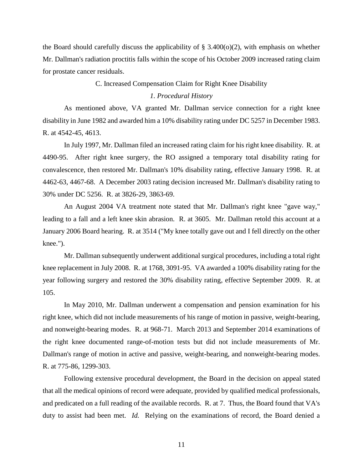the Board should carefully discuss the applicability of  $\S$  3.400(o)(2), with emphasis on whether Mr. Dallman's radiation proctitis falls within the scope of his October 2009 increased rating claim for prostate cancer residuals.

# C. Increased Compensation Claim for Right Knee Disability

# *1. Procedural History*

As mentioned above, VA granted Mr. Dallman service connection for a right knee disability in June 1982 and awarded him a 10% disability rating under DC 5257 in December 1983. R. at 4542-45, 4613.

In July 1997, Mr. Dallman filed an increased rating claim for his right knee disability. R. at 4490-95. After right knee surgery, the RO assigned a temporary total disability rating for convalescence, then restored Mr. Dallman's 10% disability rating, effective January 1998. R. at 4462-63, 4467-68. A December 2003 rating decision increased Mr. Dallman's disability rating to 30% under DC 5256. R. at 3826-29, 3863-69.

An August 2004 VA treatment note stated that Mr. Dallman's right knee "gave way," leading to a fall and a left knee skin abrasion. R. at 3605. Mr. Dallman retold this account at a January 2006 Board hearing. R. at 3514 ("My knee totally gave out and I fell directly on the other knee.").

Mr. Dallman subsequently underwent additional surgical procedures, including a total right knee replacement in July 2008. R. at 1768, 3091-95. VA awarded a 100% disability rating for the year following surgery and restored the 30% disability rating, effective September 2009. R. at 105.

In May 2010, Mr. Dallman underwent a compensation and pension examination for his right knee, which did not include measurements of his range of motion in passive, weight-bearing, and nonweight-bearing modes. R. at 968-71. March 2013 and September 2014 examinations of the right knee documented range-of-motion tests but did not include measurements of Mr. Dallman's range of motion in active and passive, weight-bearing, and nonweight-bearing modes. R. at 775-86, 1299-303.

Following extensive procedural development, the Board in the decision on appeal stated that all the medical opinions of record were adequate, provided by qualified medical professionals, and predicated on a full reading of the available records. R. at 7. Thus, the Board found that VA's duty to assist had been met. *Id.* Relying on the examinations of record, the Board denied a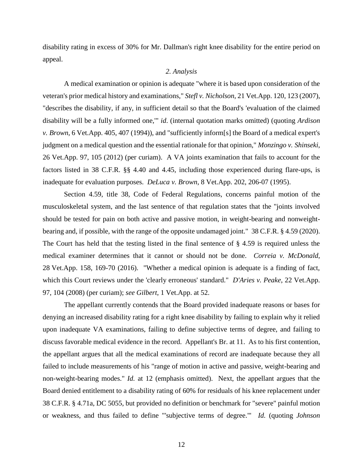disability rating in excess of 30% for Mr. Dallman's right knee disability for the entire period on appeal.

# *2. Analysis*

A medical examination or opinion is adequate "where it is based upon consideration of the veteran's prior medical history and examinations," *Stefl v. Nicholson*, 21 Vet.App. 120, 123 (2007), "describes the disability, if any, in sufficient detail so that the Board's 'evaluation of the claimed disability will be a fully informed one,'" *id*. (internal quotation marks omitted) (quoting *Ardison v. Brown*, 6 Vet.App. 405, 407 (1994)), and "sufficiently inform[s] the Board of a medical expert's judgment on a medical question and the essential rationale for that opinion," *Monzingo v. Shinseki*, 26 Vet.App. 97, 105 (2012) (per curiam). A VA joints examination that fails to account for the factors listed in 38 C.F.R. §§ 4.40 and 4.45, including those experienced during flare-ups, is inadequate for evaluation purposes. *DeLuca v. Brown*, 8 Vet.App. 202, 206-07 (1995).

Section 4.59, title 38, Code of Federal Regulations, concerns painful motion of the musculoskeletal system, and the last sentence of that regulation states that the "joints involved should be tested for pain on both active and passive motion, in weight-bearing and nonweightbearing and, if possible, with the range of the opposite undamaged joint." 38 C.F.R. § 4.59 (2020). The Court has held that the testing listed in the final sentence of § 4.59 is required unless the medical examiner determines that it cannot or should not be done. *Correia v. McDonald*, 28 Vet.App. 158, 169-70 (2016). "Whether a medical opinion is adequate is a finding of fact, which this Court reviews under the 'clearly erroneous' standard." *D'Aries v. Peake*, 22 Vet.App. 97, 104 (2008) (per curiam); *see Gilbert*, 1 Vet.App. at 52.

The appellant currently contends that the Board provided inadequate reasons or bases for denying an increased disability rating for a right knee disability by failing to explain why it relied upon inadequate VA examinations, failing to define subjective terms of degree, and failing to discuss favorable medical evidence in the record. Appellant's Br. at 11. As to his first contention, the appellant argues that all the medical examinations of record are inadequate because they all failed to include measurements of his "range of motion in active and passive, weight-bearing and non-weight-bearing modes." *Id.* at 12 (emphasis omitted). Next, the appellant argues that the Board denied entitlement to a disability rating of 60% for residuals of his knee replacement under 38 C.F.R. § 4.71a, DC 5055, but provided no definition or benchmark for "severe" painful motion or weakness, and thus failed to define "'subjective terms of degree.'" *Id.* (quoting *Johnson*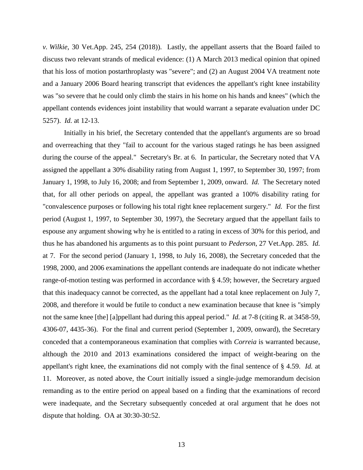*v. Wilkie*, 30 Vet.App. 245, 254 (2018)). Lastly, the appellant asserts that the Board failed to discuss two relevant strands of medical evidence: (1) A March 2013 medical opinion that opined that his loss of motion postarthroplasty was "severe"; and (2) an August 2004 VA treatment note and a January 2006 Board hearing transcript that evidences the appellant's right knee instability was "so severe that he could only climb the stairs in his home on his hands and knees" (which the appellant contends evidences joint instability that would warrant a separate evaluation under DC 5257). *Id.* at 12-13.

Initially in his brief, the Secretary contended that the appellant's arguments are so broad and overreaching that they "fail to account for the various staged ratings he has been assigned during the course of the appeal." Secretary's Br. at 6. In particular, the Secretary noted that VA assigned the appellant a 30% disability rating from August 1, 1997, to September 30, 1997; from January 1, 1998, to July 16, 2008; and from September 1, 2009, onward. *Id.* The Secretary noted that, for all other periods on appeal, the appellant was granted a 100% disability rating for "convalescence purposes or following his total right knee replacement surgery." *Id.* For the first period (August 1, 1997, to September 30, 1997), the Secretary argued that the appellant fails to espouse any argument showing why he is entitled to a rating in excess of 30% for this period, and thus he has abandoned his arguments as to this point pursuant to *Pederson*, 27 Vet.App. 285. *Id.*  at 7. For the second period (January 1, 1998, to July 16, 2008), the Secretary conceded that the 1998, 2000, and 2006 examinations the appellant contends are inadequate do not indicate whether range-of-motion testing was performed in accordance with § 4.59; however, the Secretary argued that this inadequacy cannot be corrected, as the appellant had a total knee replacement on July 7, 2008, and therefore it would be futile to conduct a new examination because that knee is "simply not the same knee [the] [a]ppellant had during this appeal period." *Id.* at 7-8 (citing R. at 3458-59, 4306-07, 4435-36). For the final and current period (September 1, 2009, onward), the Secretary conceded that a contemporaneous examination that complies with *Correia* is warranted because, although the 2010 and 2013 examinations considered the impact of weight-bearing on the appellant's right knee, the examinations did not comply with the final sentence of § 4.59. *Id.* at 11. Moreover, as noted above, the Court initially issued a single-judge memorandum decision remanding as to the entire period on appeal based on a finding that the examinations of record were inadequate, and the Secretary subsequently conceded at oral argument that he does not dispute that holding. OA at 30:30-30:52.